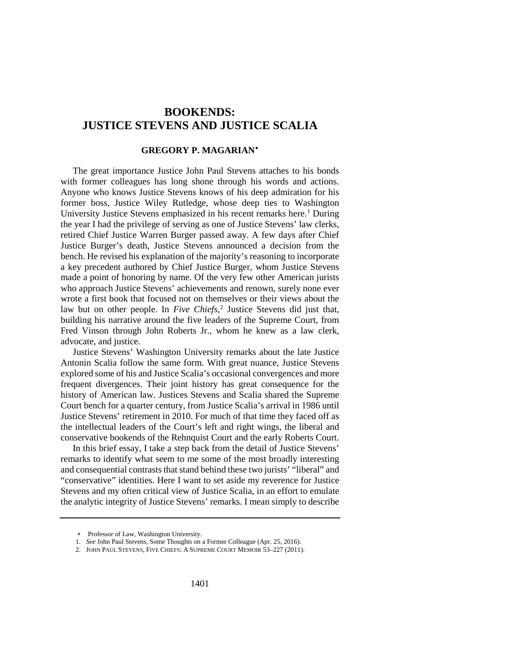# **BOOKENDS: JUSTICE STEVENS AND JUSTICE SCALIA**

# **GREGORY P. MAGARIAN**[∗](#page-0-0)

The great importance Justice John Paul Stevens attaches to his bonds with former colleagues has long shone through his words and actions. Anyone who knows Justice Stevens knows of his deep admiration for his former boss, Justice Wiley Rutledge, whose deep ties to Washington University Justice Stevens emphasized in his recent remarks here.<sup>[1](#page-0-1)</sup> During the year I had the privilege of serving as one of Justice Stevens' law clerks, retired Chief Justice Warren Burger passed away. A few days after Chief Justice Burger's death, Justice Stevens announced a decision from the bench. He revised his explanation of the majority's reasoning to incorporate a key precedent authored by Chief Justice Burger, whom Justice Stevens made a point of honoring by name. Of the very few other American jurists who approach Justice Stevens' achievements and renown, surely none ever wrote a first book that focused not on themselves or their views about the law but on other people. In *Five Chiefs*, [2](#page-0-2) Justice Stevens did just that, building his narrative around the five leaders of the Supreme Court, from Fred Vinson through John Roberts Jr., whom he knew as a law clerk, advocate, and justice.

Justice Stevens' Washington University remarks about the late Justice Antonin Scalia follow the same form. With great nuance, Justice Stevens explored some of his and Justice Scalia's occasional convergences and more frequent divergences. Their joint history has great consequence for the history of American law. Justices Stevens and Scalia shared the Supreme Court bench for a quarter century, from Justice Scalia's arrival in 1986 until Justice Stevens' retirement in 2010. For much of that time they faced off as the intellectual leaders of the Court's left and right wings, the liberal and conservative bookends of the Rehnquist Court and the early Roberts Court.

In this brief essay, I take a step back from the detail of Justice Stevens' remarks to identify what seem to me some of the most broadly interesting and consequential contrasts that stand behind these two jurists' "liberal" and "conservative" identities. Here I want to set aside my reverence for Justice Stevens and my often critical view of Justice Scalia, in an effort to emulate the analytic integrity of Justice Stevens' remarks. I mean simply to describe

<sup>∗</sup> Professor of Law, Washington University.

<sup>1.</sup> *See* John Paul Stevens, Some Thoughts on a Former Colleague (Apr. 25, 2016).

<span id="page-0-2"></span><span id="page-0-1"></span><span id="page-0-0"></span><sup>2.</sup> JOHN PAUL STEVENS, FIVE CHIEFS: A SUPREME COURT MEMOIR 53–227 (2011).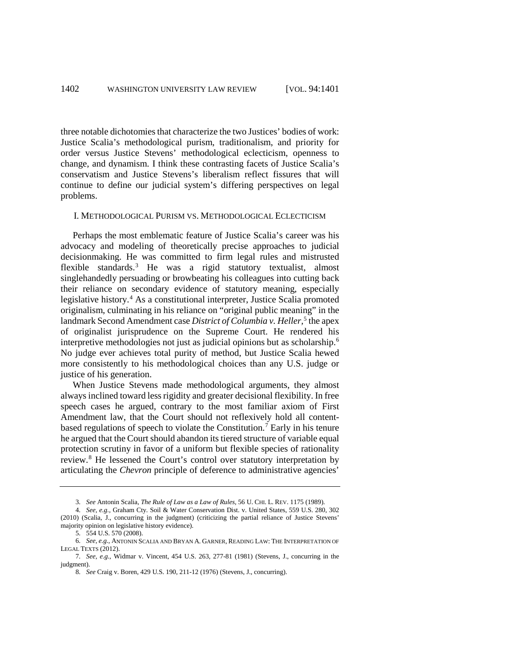three notable dichotomies that characterize the two Justices' bodies of work: Justice Scalia's methodological purism, traditionalism, and priority for order versus Justice Stevens' methodological eclecticism, openness to change, and dynamism. I think these contrasting facets of Justice Scalia's conservatism and Justice Stevens's liberalism reflect fissures that will continue to define our judicial system's differing perspectives on legal problems.

#### I. METHODOLOGICAL PURISM VS. METHODOLOGICAL ECLECTICISM

Perhaps the most emblematic feature of Justice Scalia's career was his advocacy and modeling of theoretically precise approaches to judicial decisionmaking. He was committed to firm legal rules and mistrusted flexible standards.[3](#page-1-0) He was a rigid statutory textualist, almost singlehandedly persuading or browbeating his colleagues into cutting back their reliance on secondary evidence of statutory meaning, especially legislative history.[4](#page-1-1) As a constitutional interpreter, Justice Scalia promoted originalism, culminating in his reliance on "original public meaning" in the landmark Second Amendment case *District of Columbia v. Heller*,<sup>[5](#page-1-2)</sup> the apex of originalist jurisprudence on the Supreme Court. He rendered his interpretive methodologies not just as judicial opinions but as scholarship.[6](#page-1-3) No judge ever achieves total purity of method, but Justice Scalia hewed more consistently to his methodological choices than any U.S. judge or justice of his generation.

When Justice Stevens made methodological arguments, they almost always inclined toward less rigidity and greater decisional flexibility. In free speech cases he argued, contrary to the most familiar axiom of First Amendment law, that the Court should not reflexively hold all contentbased regulations of speech to violate the Constitution.[7](#page-1-4) Early in his tenure he argued that the Court should abandon its tiered structure of variable equal protection scrutiny in favor of a uniform but flexible species of rationality review.[8](#page-1-5) He lessened the Court's control over statutory interpretation by articulating the *Chevron* principle of deference to administrative agencies'

<sup>3.</sup> *See* Antonin Scalia, *The Rule of Law as a Law of Rules,* 56 U. CHI. L. REV. 1175 (1989).

<span id="page-1-1"></span><span id="page-1-0"></span><sup>4.</sup> *See, e.g.,* Graham Cty. Soil & Water Conservation Dist. v. United States, 559 U.S. 280, 302 (2010) (Scalia, J., concurring in the judgment) (criticizing the partial reliance of Justice Stevens' majority opinion on legislative history evidence).

<sup>5.</sup> 554 U.S. 570 (2008).

<span id="page-1-3"></span><span id="page-1-2"></span><sup>6.</sup> *See, e.g.,* ANTONIN SCALIA AND BRYAN A. GARNER, READING LAW: THE INTERPRETATION OF LEGAL TEXTS (2012).

<span id="page-1-5"></span><span id="page-1-4"></span><sup>7.</sup> *See, e.g.,* Widmar v. Vincent, 454 U.S. 263, 277-81 (1981) (Stevens, J., concurring in the judgment).

<sup>8.</sup> *See* Craig v. Boren, 429 U.S. 190, 211-12 (1976) (Stevens, J., concurring).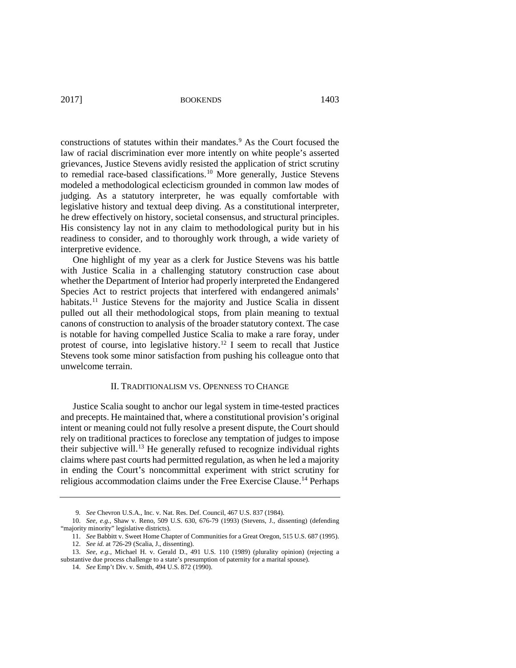2017] **BOOKENDS** 1403

constructions of statutes within their mandates.<sup>[9](#page-2-0)</sup> As the Court focused the law of racial discrimination ever more intently on white people's asserted grievances, Justice Stevens avidly resisted the application of strict scrutiny to remedial race-based classifications.<sup>[10](#page-2-1)</sup> More generally, Justice Stevens modeled a methodological eclecticism grounded in common law modes of judging. As a statutory interpreter, he was equally comfortable with legislative history and textual deep diving. As a constitutional interpreter, he drew effectively on history, societal consensus, and structural principles. His consistency lay not in any claim to methodological purity but in his readiness to consider, and to thoroughly work through, a wide variety of interpretive evidence.

One highlight of my year as a clerk for Justice Stevens was his battle with Justice Scalia in a challenging statutory construction case about whether the Department of Interior had properly interpreted the Endangered Species Act to restrict projects that interfered with endangered animals' habitats.<sup>11</sup> Justice Stevens for the majority and Justice Scalia in dissent pulled out all their methodological stops, from plain meaning to textual canons of construction to analysis of the broader statutory context. The case is notable for having compelled Justice Scalia to make a rare foray, under protest of course, into legislative history.[12](#page-2-3) I seem to recall that Justice Stevens took some minor satisfaction from pushing his colleague onto that unwelcome terrain.

### II. TRADITIONALISM VS. OPENNESS TO CHANGE

Justice Scalia sought to anchor our legal system in time-tested practices and precepts. He maintained that, where a constitutional provision's original intent or meaning could not fully resolve a present dispute, the Court should rely on traditional practices to foreclose any temptation of judges to impose their subjective will.<sup>[13](#page-2-4)</sup> He generally refused to recognize individual rights claims where past courts had permitted regulation, as when he led a majority in ending the Court's noncommittal experiment with strict scrutiny for religious accommodation claims under the Free Exercise Clause.<sup>[14](#page-2-5)</sup> Perhaps

<sup>9.</sup> *See* Chevron U.S.A., Inc. v. Nat. Res. Def. Council, 467 U.S. 837 (1984).

<span id="page-2-1"></span><span id="page-2-0"></span><sup>10.</sup> *See, e.g.,* Shaw v. Reno, 509 U.S. 630, 676-79 (1993) (Stevens, J., dissenting) (defending "majority minority" legislative districts).

<sup>11.</sup> *See* Babbitt v. Sweet Home Chapter of Communities for a Great Oregon, 515 U.S. 687 (1995).

<sup>12.</sup> *See id.* at 726-29 (Scalia, J., dissenting).

<span id="page-2-5"></span><span id="page-2-4"></span><span id="page-2-3"></span><span id="page-2-2"></span><sup>13.</sup> *See, e.g.,* Michael H. v. Gerald D., 491 U.S. 110 (1989) (plurality opinion) (rejecting a substantive due process challenge to a state's presumption of paternity for a marital spouse).

<sup>14.</sup> *See* Emp't Div. v. Smith, 494 U.S. 872 (1990).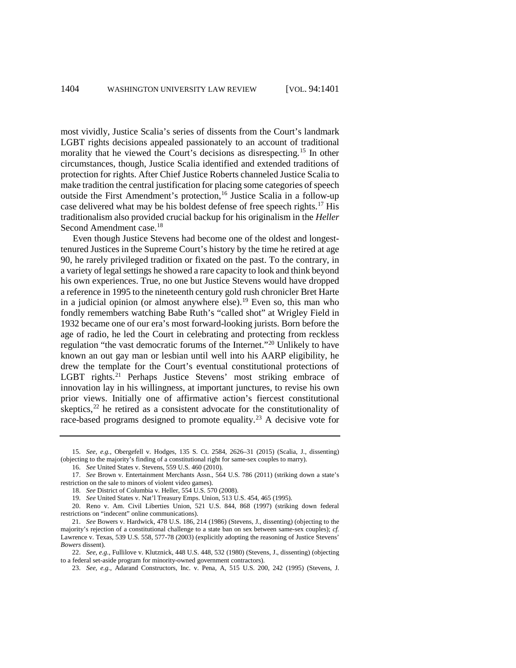most vividly, Justice Scalia's series of dissents from the Court's landmark LGBT rights decisions appealed passionately to an account of traditional morality that he viewed the Court's decisions as disrespecting.[15](#page-3-0) In other circumstances, though, Justice Scalia identified and extended traditions of protection for rights. After Chief Justice Roberts channeled Justice Scalia to make tradition the central justification for placing some categories of speech outside the First Amendment's protection,<sup>[16](#page-3-1)</sup> Justice Scalia in a follow-up case delivered what may be his boldest defense of free speech rights.[17](#page-3-2) His traditionalism also provided crucial backup for his originalism in the *Heller* Second Amendment case.<sup>18</sup>

Even though Justice Stevens had become one of the oldest and longesttenured Justices in the Supreme Court's history by the time he retired at age 90, he rarely privileged tradition or fixated on the past. To the contrary, in a variety of legal settings he showed a rare capacity to look and think beyond his own experiences. True, no one but Justice Stevens would have dropped a reference in 1995 to the nineteenth century gold rush chronicler Bret Harte in a judicial opinion (or almost anywhere else).<sup>[19](#page-3-4)</sup> Even so, this man who fondly remembers watching Babe Ruth's "called shot" at Wrigley Field in 1932 became one of our era's most forward-looking jurists. Born before the age of radio, he led the Court in celebrating and protecting from reckless regulation "the vast democratic forums of the Internet."[20](#page-3-5) Unlikely to have known an out gay man or lesbian until well into his AARP eligibility, he drew the template for the Court's eventual constitutional protections of LGBT rights.<sup>[21](#page-3-6)</sup> Perhaps Justice Stevens' most striking embrace of innovation lay in his willingness, at important junctures, to revise his own prior views. Initially one of affirmative action's fiercest constitutional skeptics,  $22$  he retired as a consistent advocate for the constitutionality of race-based programs designed to promote equality.<sup>[23](#page-3-8)</sup> A decisive vote for

<span id="page-3-0"></span><sup>15.</sup> *See, e.g.,* Obergefell v. Hodges, 135 S. Ct. 2584, 2626–31 (2015) (Scalia, J., dissenting) (objecting to the majority's finding of a constitutional right for same-sex couples to marry).

<sup>16.</sup> *See* United States v. Stevens, 559 U.S. 460 (2010).

<span id="page-3-2"></span><span id="page-3-1"></span><sup>17.</sup> *See* Brown v. Entertainment Merchants Assn., 564 U.S. 786 (2011) (striking down a state's restriction on the sale to minors of violent video games).

<sup>18.</sup> *See* District of Columbia v. Heller, 554 U.S. 570 (2008).

<sup>19.</sup> *See* United States v. Nat'l Treasury Emps. Union, 513 U.S. 454, 465 (1995).

<span id="page-3-5"></span><span id="page-3-4"></span><span id="page-3-3"></span><sup>20.</sup> Reno v. Am. Civil Liberties Union, 521 U.S. 844, 868 (1997) (striking down federal restrictions on "indecent" online communications).

<span id="page-3-6"></span><sup>21.</sup> *See* Bowers v. Hardwick, 478 U.S. 186, 214 (1986) (Stevens, J., dissenting) (objecting to the majority's rejection of a constitutional challenge to a state ban on sex between same-sex couples); *cf.*  Lawrence v. Texas, 539 U.S. 558, 577-78 (2003) (explicitly adopting the reasoning of Justice Stevens' *Bowers* dissent).

<span id="page-3-8"></span><span id="page-3-7"></span><sup>22.</sup> *See, e.g.,* Fullilove v. Klutznick, 448 U.S. 448, 532 (1980) (Stevens, J., dissenting) (objecting to a federal set-aside program for minority-owned government contractors).

<sup>23.</sup> *See, e.g.,* Adarand Constructors, Inc. v. Pena, A, 515 U.S. 200, 242 (1995) (Stevens, J.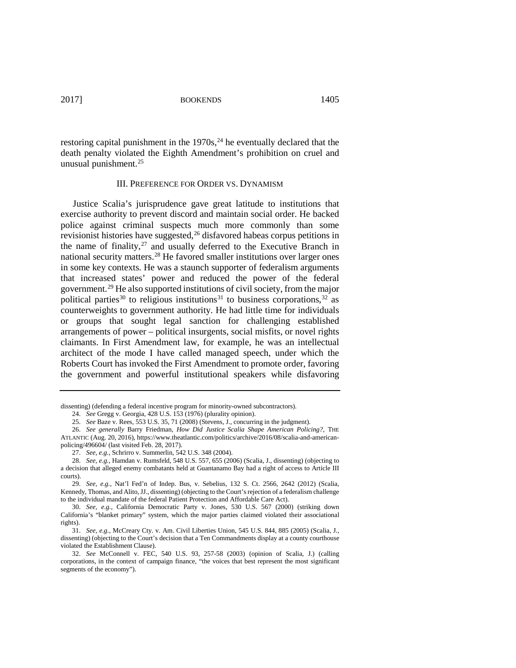2017] BOOKENDS 1405

restoring capital punishment in the  $1970s<sup>24</sup>$  $1970s<sup>24</sup>$  $1970s<sup>24</sup>$  he eventually declared that the death penalty violated the Eighth Amendment's prohibition on cruel and unusual punishment.[25](#page-4-1)

### III. PREFERENCE FOR ORDER VS. DYNAMISM

Justice Scalia's jurisprudence gave great latitude to institutions that exercise authority to prevent discord and maintain social order. He backed police against criminal suspects much more commonly than some revisionist histories have suggested,<sup>[26](#page-4-2)</sup> disfavored habeas corpus petitions in the name of finality, $27$  and usually deferred to the Executive Branch in national security matters[.28](#page-4-4) He favored smaller institutions over larger ones in some key contexts. He was a staunch supporter of federalism arguments that increased states' power and reduced the power of the federal government.[29](#page-4-5) He also supported institutions of civil society, from the major political parties<sup>[30](#page-4-6)</sup> to religious institutions<sup>[31](#page-4-7)</sup> to business corporations,<sup>[32](#page-4-8)</sup> as counterweights to government authority. He had little time for individuals or groups that sought legal sanction for challenging established arrangements of power – political insurgents, social misfits, or novel rights claimants. In First Amendment law, for example, he was an intellectual architect of the mode I have called managed speech, under which the Roberts Court has invoked the First Amendment to promote order, favoring the government and powerful institutional speakers while disfavoring

<span id="page-4-0"></span>dissenting) (defending a federal incentive program for minority-owned subcontractors).

<sup>24.</sup> *See* Gregg v. Georgia, 428 U.S. 153 (1976) (plurality opinion).

<sup>25.</sup> *See* Baze v. Rees, 553 U.S. 35, 71 (2008) (Stevens, J., concurring in the judgment).

<span id="page-4-2"></span><span id="page-4-1"></span><sup>26.</sup> *See generally* Barry Friedman, *How Did Justice Scalia Shape American Policing?,* THE ATLANTIC (Aug. 20, 2016)[, https://www.theatlantic.com/politics/archive/2016/08/scalia-and-american](https://www.theatlantic.com/politics/archive/2016/08/scalia-and-american-policing/496604/)[policing/496604/](https://www.theatlantic.com/politics/archive/2016/08/scalia-and-american-policing/496604/) (last visited Feb. 28, 2017).

<sup>27.</sup> *See, e.g.,* Schrirro v. Summerlin, 542 U.S. 348 (2004).

<span id="page-4-4"></span><span id="page-4-3"></span><sup>28.</sup> *See, e.g.,* Hamdan v. Rumsfeld, 548 U.S. 557, 655 (2006) (Scalia, J., dissenting) (objecting to a decision that alleged enemy combatants held at Guantanamo Bay had a right of access to Article III courts).

<span id="page-4-5"></span><sup>29.</sup> *See, e.g.,* Nat'l Fed'n of Indep. Bus, v. Sebelius, 132 S. Ct. 2566, 2642 (2012) (Scalia, Kennedy, Thomas, and Alito, JJ., dissenting) (objecting to the Court's rejection of a federalism challenge to the individual mandate of the federal Patient Protection and Affordable Care Act).

<span id="page-4-6"></span><sup>30.</sup> *See, e.g.,* California Democratic Party v. Jones, 530 U.S. 567 (2000) (striking down California's "blanket primary" system, which the major parties claimed violated their associational rights).

<span id="page-4-7"></span><sup>31.</sup> *See, e.g.,* McCreary Cty. v. Am. Civil Liberties Union, 545 U.S. 844, 885 (2005) (Scalia, J., dissenting) (objecting to the Court's decision that a Ten Commandments display at a county courthouse violated the Establishment Clause).

<span id="page-4-8"></span><sup>32.</sup> *See* McConnell v. FEC, 540 U.S. 93, 257-58 (2003) (opinion of Scalia, J.) (calling corporations, in the context of campaign finance, "the voices that best represent the most significant segments of the economy").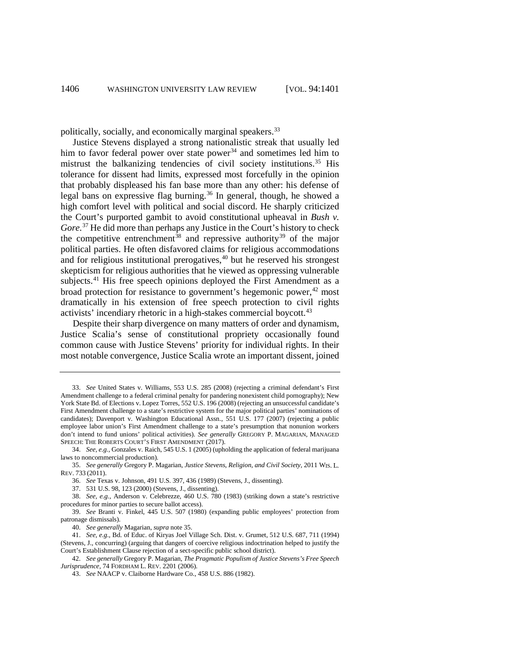politically, socially, and economically marginal speakers[.33](#page-5-1)

<span id="page-5-0"></span>Justice Stevens displayed a strong nationalistic streak that usually led him to favor federal power over state power<sup>[34](#page-5-2)</sup> and sometimes led him to mistrust the balkanizing tendencies of civil society institutions.<sup>[35](#page-5-3)</sup> His tolerance for dissent had limits, expressed most forcefully in the opinion that probably displeased his fan base more than any other: his defense of legal bans on expressive flag burning.[36](#page-5-4) In general, though, he showed a high comfort level with political and social discord. He sharply criticized the Court's purported gambit to avoid constitutional upheaval in *Bush v. Gore.*[37](#page-5-5) He did more than perhaps any Justice in the Court's history to check the competitive entrenchment<sup>[38](#page-5-6)</sup> and repressive authority<sup>[39](#page-5-7)</sup> of the major political parties. He often disfavored claims for religious accommodations and for religious institutional prerogatives, $40$  but he reserved his strongest skepticism for religious authorities that he viewed as oppressing vulnerable subjects.<sup>[41](#page-5-9)</sup> His free speech opinions deployed the First Amendment as a broad protection for resistance to government's hegemonic power, $42 \text{ most}$  $42 \text{ most}$ dramatically in his extension of free speech protection to civil rights activists' incendiary rhetoric in a high-stakes commercial boycott.<sup>[43](#page-5-11)</sup>

Despite their sharp divergence on many matters of order and dynamism, Justice Scalia's sense of constitutional propriety occasionally found common cause with Justice Stevens' priority for individual rights. In their most notable convergence, Justice Scalia wrote an important dissent, joined

<span id="page-5-1"></span><sup>33.</sup> *See* United States v. Williams, 553 U.S. 285 (2008) (rejecting a criminal defendant's First Amendment challenge to a federal criminal penalty for pandering nonexistent child pornography); New York State Bd. of Elections v. Lopez Torres, 552 U.S. 196 (2008) (rejecting an unsuccessful candidate's First Amendment challenge to a state's restrictive system for the major political parties' nominations of candidates); Davenport v. Washington Educational Assn., 551 U.S. 177 (2007) (rejecting a public employee labor union's First Amendment challenge to a state's presumption that nonunion workers don't intend to fund unions' political activities). *See generally* GREGORY P. MAGARIAN, MANAGED SPEECH: THE ROBERTS COURT'S FIRST AMENDMENT (2017).

<span id="page-5-2"></span><sup>34.</sup> *See, e.g.,* Gonzales v. Raich, 545 U.S. 1 (2005) (upholding the application of federal marijuana laws to noncommercial production).

<span id="page-5-3"></span><sup>35.</sup> *See generally* Gregory P. Magarian, *Justice Stevens, Religion, and Civil Society,* 2011 WIS. L. REV. 733 (2011).

<sup>36.</sup> *See* Texas v. Johnson, 491 U.S. 397, 436 (1989) (Stevens, J., dissenting).

<sup>37.</sup> 531 U.S. 98, 123 (2000) (Stevens, J., dissenting).

<span id="page-5-6"></span><span id="page-5-5"></span><span id="page-5-4"></span><sup>38.</sup> *See, e.g.,* Anderson v. Celebrezze, 460 U.S. 780 (1983) (striking down a state's restrictive procedures for minor parties to secure ballot access).

<span id="page-5-7"></span><sup>39.</sup> *See* Branti v. Finkel, 445 U.S. 507 (1980) (expanding public employees' protection from patronage dismissals).

<sup>40.</sup> *See generally* Magarian, *supra* not[e 35.](#page-5-0)

<span id="page-5-9"></span><span id="page-5-8"></span><sup>41.</sup> *See, e.g.,* Bd. of Educ. of Kiryas Joel Village Sch. Dist. v. Grumet, 512 U.S. 687, 711 (1994) (Stevens, J., concurring) (arguing that dangers of coercive religious indoctrination helped to justify the Court's Establishment Clause rejection of a sect-specific public school district).

<span id="page-5-11"></span><span id="page-5-10"></span><sup>42.</sup> *See generally* Gregory P. Magarian, *The Pragmatic Populism of Justice Stevens's Free Speech Jurisprudence,* 74 FORDHAM L. REV. 2201 (2006).

<sup>43.</sup> *See* NAACP v. Claiborne Hardware Co., 458 U.S. 886 (1982).